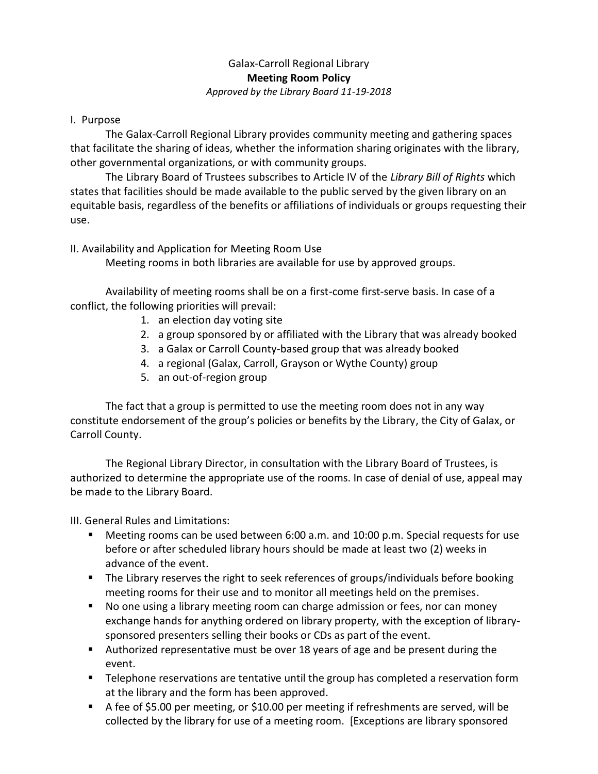## Galax-Carroll Regional Library **Meeting Room Policy** *Approved by the Library Board 11-19-2018*

## I. Purpose

The Galax-Carroll Regional Library provides community meeting and gathering spaces that facilitate the sharing of ideas, whether the information sharing originates with the library, other governmental organizations, or with community groups.

The Library Board of Trustees subscribes to Article IV of the *Library Bill of Rights* which states that facilities should be made available to the public served by the given library on an equitable basis, regardless of the benefits or affiliations of individuals or groups requesting their use.

## II. Availability and Application for Meeting Room Use

Meeting rooms in both libraries are available for use by approved groups.

Availability of meeting rooms shall be on a first-come first-serve basis. In case of a conflict, the following priorities will prevail:

- 1. an election day voting site
- 2. a group sponsored by or affiliated with the Library that was already booked
- 3. a Galax or Carroll County-based group that was already booked
- 4. a regional (Galax, Carroll, Grayson or Wythe County) group
- 5. an out-of-region group

The fact that a group is permitted to use the meeting room does not in any way constitute endorsement of the group's policies or benefits by the Library, the City of Galax, or Carroll County.

The Regional Library Director, in consultation with the Library Board of Trustees, is authorized to determine the appropriate use of the rooms. In case of denial of use, appeal may be made to the Library Board.

III. General Rules and Limitations:

- Meeting rooms can be used between 6:00 a.m. and 10:00 p.m. Special requests for use before or after scheduled library hours should be made at least two (2) weeks in advance of the event.
- **The Library reserves the right to seek references of groups/individuals before booking** meeting rooms for their use and to monitor all meetings held on the premises.
- No one using a library meeting room can charge admission or fees, nor can money exchange hands for anything ordered on library property, with the exception of librarysponsored presenters selling their books or CDs as part of the event.
- Authorized representative must be over 18 years of age and be present during the event.
- Telephone reservations are tentative until the group has completed a reservation form at the library and the form has been approved.
- A fee of \$5.00 per meeting, or \$10.00 per meeting if refreshments are served, will be collected by the library for use of a meeting room. [Exceptions are library sponsored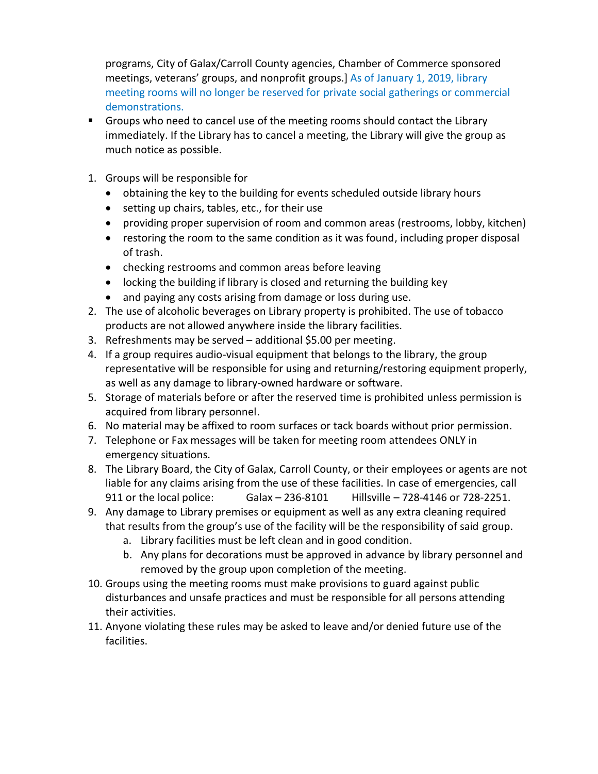programs, City of Galax/Carroll County agencies, Chamber of Commerce sponsored meetings, veterans' groups, and nonprofit groups.] As of January 1, 2019, library meeting rooms will no longer be reserved for private social gatherings or commercial demonstrations.

- Groups who need to cancel use of the meeting rooms should contact the Library immediately. If the Library has to cancel a meeting, the Library will give the group as much notice as possible.
- 1. Groups will be responsible for
	- obtaining the key to the building for events scheduled outside library hours
	- setting up chairs, tables, etc., for their use
	- providing proper supervision of room and common areas (restrooms, lobby, kitchen)
	- restoring the room to the same condition as it was found, including proper disposal of trash.
	- checking restrooms and common areas before leaving
	- locking the building if library is closed and returning the building key
	- and paying any costs arising from damage or loss during use.
- 2. The use of alcoholic beverages on Library property is prohibited. The use of tobacco products are not allowed anywhere inside the library facilities.
- 3. Refreshments may be served additional \$5.00 per meeting.
- 4. If a group requires audio-visual equipment that belongs to the library, the group representative will be responsible for using and returning/restoring equipment properly, as well as any damage to library-owned hardware or software.
- 5. Storage of materials before or after the reserved time is prohibited unless permission is acquired from library personnel.
- 6. No material may be affixed to room surfaces or tack boards without prior permission.
- 7. Telephone or Fax messages will be taken for meeting room attendees ONLY in emergency situations.
- 8. The Library Board, the City of Galax, Carroll County, or their employees or agents are not liable for any claims arising from the use of these facilities. In case of emergencies, call 911 or the local police: Galax – 236-8101 Hillsville – 728-4146 or 728-2251.
- 9. Any damage to Library premises or equipment as well as any extra cleaning required that results from the group's use of the facility will be the responsibility of said group.
	- a. Library facilities must be left clean and in good condition.
	- b. Any plans for decorations must be approved in advance by library personnel and removed by the group upon completion of the meeting.
- 10. Groups using the meeting rooms must make provisions to guard against public disturbances and unsafe practices and must be responsible for all persons attending their activities.
- 11. Anyone violating these rules may be asked to leave and/or denied future use of the facilities.